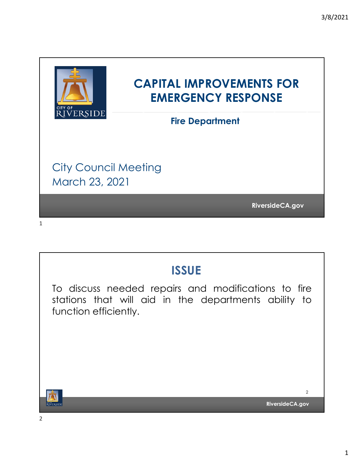

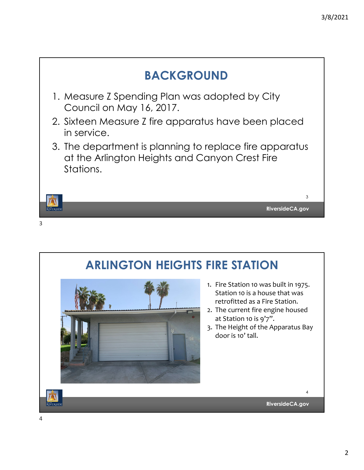

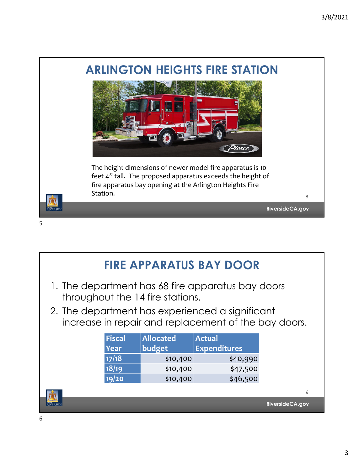

| <b>FIRE APPARATUS BAY DOOR</b>                                                                          |               |                  |                     |   |
|---------------------------------------------------------------------------------------------------------|---------------|------------------|---------------------|---|
| 1. The department has 68 fire apparatus bay doors<br>throughout the 14 fire stations.                   |               |                  |                     |   |
| 2. The department has experienced a significant<br>increase in repair and replacement of the bay doors. |               |                  |                     |   |
|                                                                                                         | <b>Fiscal</b> | <b>Allocated</b> | <b>Actual</b>       |   |
|                                                                                                         | <b>Year</b>   | budget           | <b>Expenditures</b> |   |
|                                                                                                         | 17/18         | \$10,400         | \$40,990            |   |
|                                                                                                         | 18/19         | \$10,400         | \$47,500            |   |
|                                                                                                         | 19/20         | \$10,400         | \$46,500            |   |
|                                                                                                         |               |                  |                     | 6 |
| RiversideCA.gov                                                                                         |               |                  |                     |   |

6